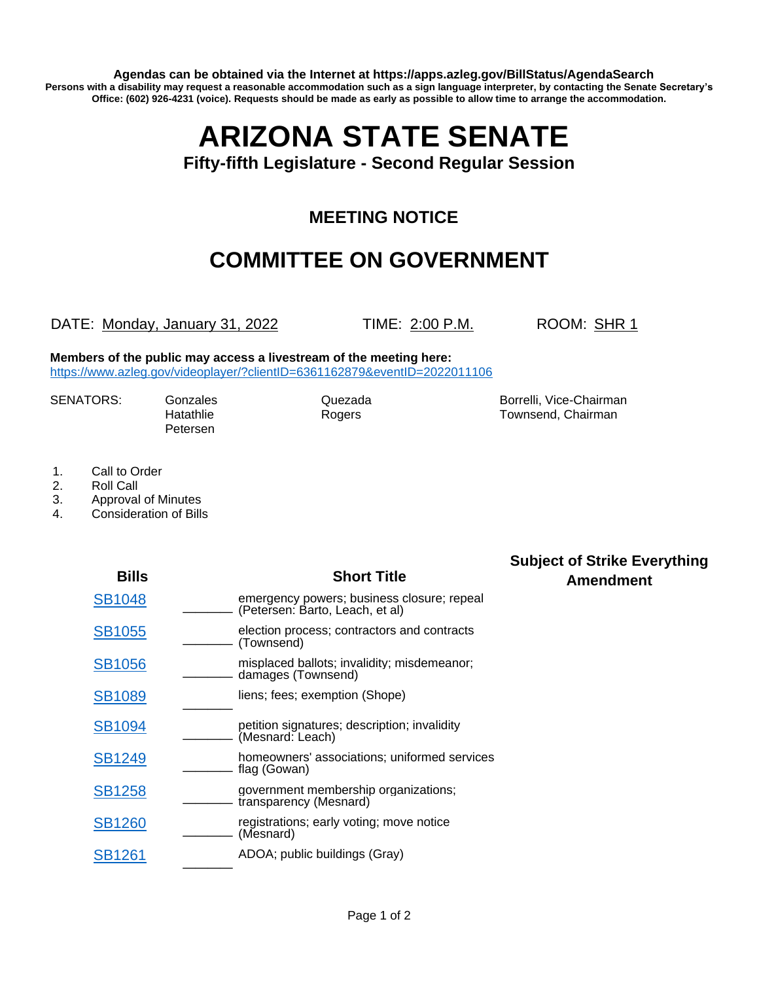**Agendas can be obtained via the Internet at https://apps.azleg.gov/BillStatus/AgendaSearch Persons with a disability may request a reasonable accommodation such as a sign language interpreter, by contacting the Senate Secretary's Office: (602) 926-4231 (voice). Requests should be made as early as possible to allow time to arrange the accommodation.**

## **ARIZONA STATE SENATE**

**Fifty-fifth Legislature - Second Regular Session**

## **MEETING NOTICE**

## **COMMITTEE ON GOVERNMENT**

DATE: Monday, January 31, 2022 TIME: 2:00 P.M. ROOM: SHR 1

**Members of the public may access a livestream of the meeting here:**  <https://www.azleg.gov/videoplayer/?clientID=6361162879&eventID=2022011106>

| <b>SENATORS:</b> | Gonz  |
|------------------|-------|
|                  | Hatat |
|                  |       |

Petersen

ales Cuezada Borrelli, Vice-Chairman hlie Rogers **Rogers** Townsend, Chairman

- 1. Call to Order
- 2. Roll Call
- 3. Approval of Minutes
- 4. Consideration of Bills

| <b>Bills</b>  | <b>Short Title</b>                                                            | <b>Subject of Strike Everything</b><br><b>Amendment</b> |
|---------------|-------------------------------------------------------------------------------|---------------------------------------------------------|
| <b>SB1048</b> | emergency powers; business closure; repeal<br>(Petersen: Barto, Leach, et al) |                                                         |
| <b>SB1055</b> | election process; contractors and contracts<br>(Townsend)                     |                                                         |
| <b>SB1056</b> | misplaced ballots; invalidity; misdemeanor;<br>damages (Townsend)             |                                                         |
| <b>SB1089</b> | liens; fees; exemption (Shope)                                                |                                                         |
| <b>SB1094</b> | petition signatures; description; invalidity<br>(Mesnard: Leach)              |                                                         |
| <b>SB1249</b> | homeowners' associations; uniformed services<br>flag (Gowan)                  |                                                         |
| <b>SB1258</b> | government membership organizations;<br>transparency (Mesnard)                |                                                         |
| <b>SB1260</b> | registrations; early voting; move notice<br>(Mesnard)                         |                                                         |
| <b>SB1261</b> | ADOA; public buildings (Gray)                                                 |                                                         |